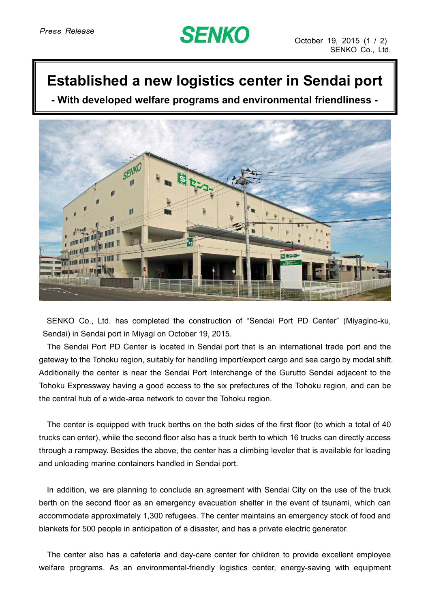## **SENKO**

## **Established a new logistics center in Sendai port**

**- With developed welfare programs and environmental friendliness -**



SENKO Co., Ltd. has completed the construction of "Sendai Port PD Center" (Miyagino-ku, Sendai) in Sendai port in Miyagi on October 19, 2015.

The Sendai Port PD Center is located in Sendai port that is an international trade port and the gateway to the Tohoku region, suitably for handling import/export cargo and sea cargo by modal shift. Additionally the center is near the Sendai Port Interchange of the Gurutto Sendai adjacent to the Tohoku Expressway having a good access to the six prefectures of the Tohoku region, and can be the central hub of a wide-area network to cover the Tohoku region.

The center is equipped with truck berths on the both sides of the first floor (to which a total of 40 trucks can enter), while the second floor also has a truck berth to which 16 trucks can directly access through a rampway. Besides the above, the center has a climbing leveler that is available for loading and unloading marine containers handled in Sendai port.

In addition, we are planning to conclude an agreement with Sendai City on the use of the truck berth on the second floor as an emergency evacuation shelter in the event of tsunami, which can accommodate approximately 1,300 refugees. The center maintains an emergency stock of food and blankets for 500 people in anticipation of a disaster, and has a private electric generator.

The center also has a cafeteria and day-care center for children to provide excellent employee welfare programs. As an environmental-friendly logistics center, energy-saving with equipment